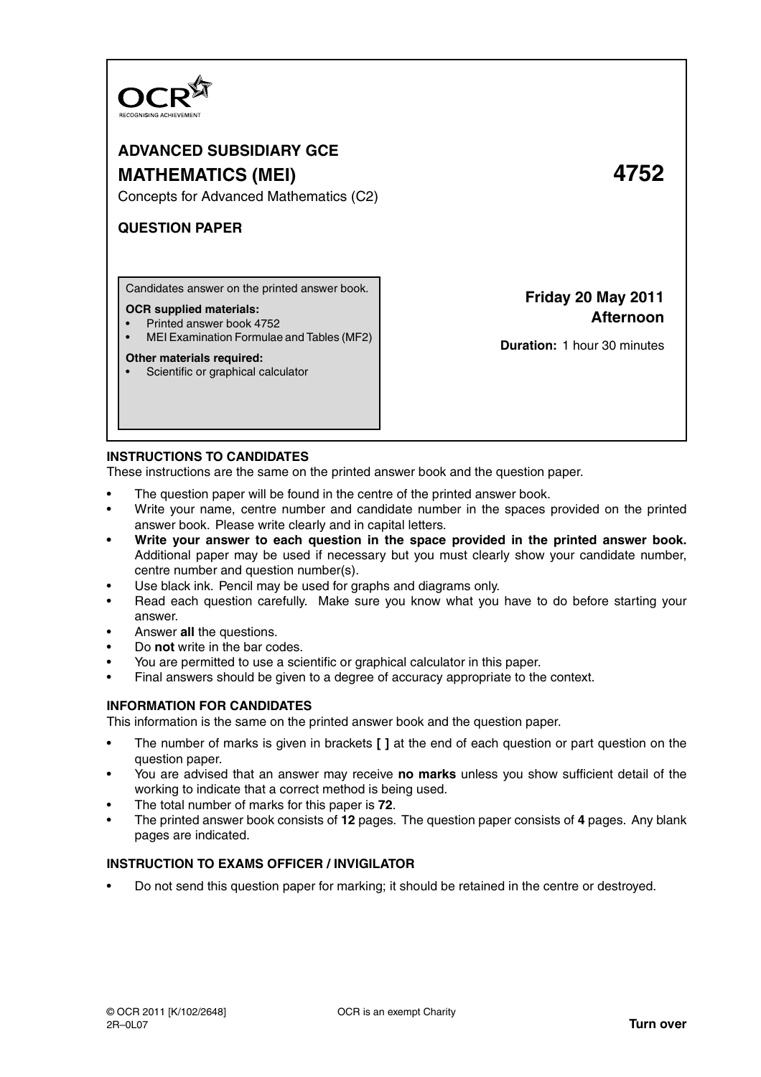

# **ADVANCED SUBSIDIARY GCE MATHEMATICS (MEI) 4752**

Concepts for Advanced Mathematics (C2)

# **QUESTION PAPER**

Candidates answer on the printed answer book.

#### **OCR supplied materials:**

- Printed answer book 4752
- MEI Examination Formulae and Tables (MF2)

#### **Other materials required:**

• Scientific or graphical calculator

# **Friday 20 May 2011 Afternoon**

**Duration:** 1 hour 30 minutes

## **INSTRUCTIONS TO CANDIDATES**

These instructions are the same on the printed answer book and the question paper.

- The question paper will be found in the centre of the printed answer book.
- Write your name, centre number and candidate number in the spaces provided on the printed answer book. Please write clearly and in capital letters.
- **Write your answer to each question in the space provided in the printed answer book.** Additional paper may be used if necessary but you must clearly show your candidate number, centre number and question number(s).
- Use black ink. Pencil may be used for graphs and diagrams only.
- Read each question carefully. Make sure you know what you have to do before starting your answer.
- Answer **all** the questions.
- Do **not** write in the bar codes.
- You are permitted to use a scientific or graphical calculator in this paper.
- Final answers should be given to a degree of accuracy appropriate to the context.

## **INFORMATION FOR CANDIDATES**

This information is the same on the printed answer book and the question paper.

- The number of marks is given in brackets **[ ]** at the end of each question or part question on the question paper.
- You are advised that an answer may receive **no marks** unless you show sufficient detail of the working to indicate that a correct method is being used.
- The total number of marks for this paper is **72**.
- The printed answer book consists of **12** pages. The question paper consists of **4** pages. Any blank pages are indicated.

# **INSTRUCTION TO EXAMS OFFICER / INVIGILATOR**

• Do not send this question paper for marking; it should be retained in the centre or destroyed.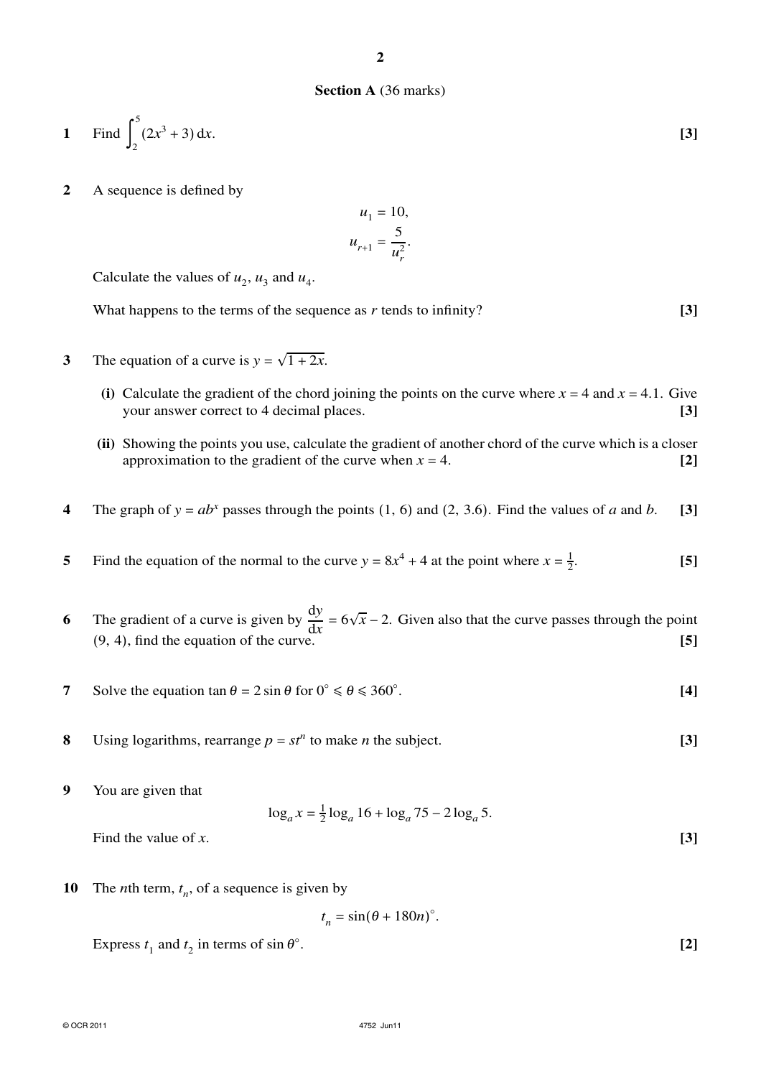## **Section A** (36 marks)

1 Find 
$$
\int_{2}^{5} (2x^3 + 3) dx
$$
. [3]

**2** A sequence is defined by

$$
u_1 = 10,
$$
  

$$
u_{r+1} = \frac{5}{u_r^2}.
$$

Calculate the values of  $u_2$ ,  $u_3$  and  $u_4$ .

What happens to the terms of the sequence as *r* tends to infinity? [3]

- **3** The equation of a curve is  $y = \sqrt{1 + 2x}$ .
	- (i) Calculate the gradient of the chord joining the points on the curve where  $x = 4$  and  $x = 4.1$ . Give your answer correct to 4 decimal places. **[3]**
	- **(ii)** Showing the points you use, calculate the gradient of another chord of the curve which is a closer approximation to the gradient of the curve when  $x = 4$ . **[2]**
- **4** The graph of  $y = ab^x$  passes through the points (1, 6) and (2, 3.6). Find the values of *a* and *b*. [3]
- **5** Find the equation of the normal to the curve  $y = 8x^4 + 4$  at the point where  $x = \frac{1}{2}$ 2 . **[5]**
- **6** The gradient of a curve is given by  $\frac{dy}{dx} = 6\sqrt{x} 2$ . Given also that the curve passes through the point (9, 4), find the equation of the curve. **[5]**
- **7** Solve the equation  $\tan \theta = 2 \sin \theta$  for  $0^\circ \le \theta \le 360^\circ$ . . **[4]**
- **8** Using logarithms, rearrange  $p = st^n$  to make *n* the subject. **[3]**
- **9** You are given that

$$
\log_a x = \frac{1}{2} \log_a 16 + \log_a 75 - 2 \log_a 5.
$$

Find the value of *x*. [3]

**10** The *n*th term,  $t_n$ , of a sequence is given by

$$
t_n = \sin(\theta + 180n)^\circ.
$$

Express  $t_1$  and  $t_2$  in terms of sin  $\theta^\circ$ 

© OCR 2011 4752 Jun11

. **[2]**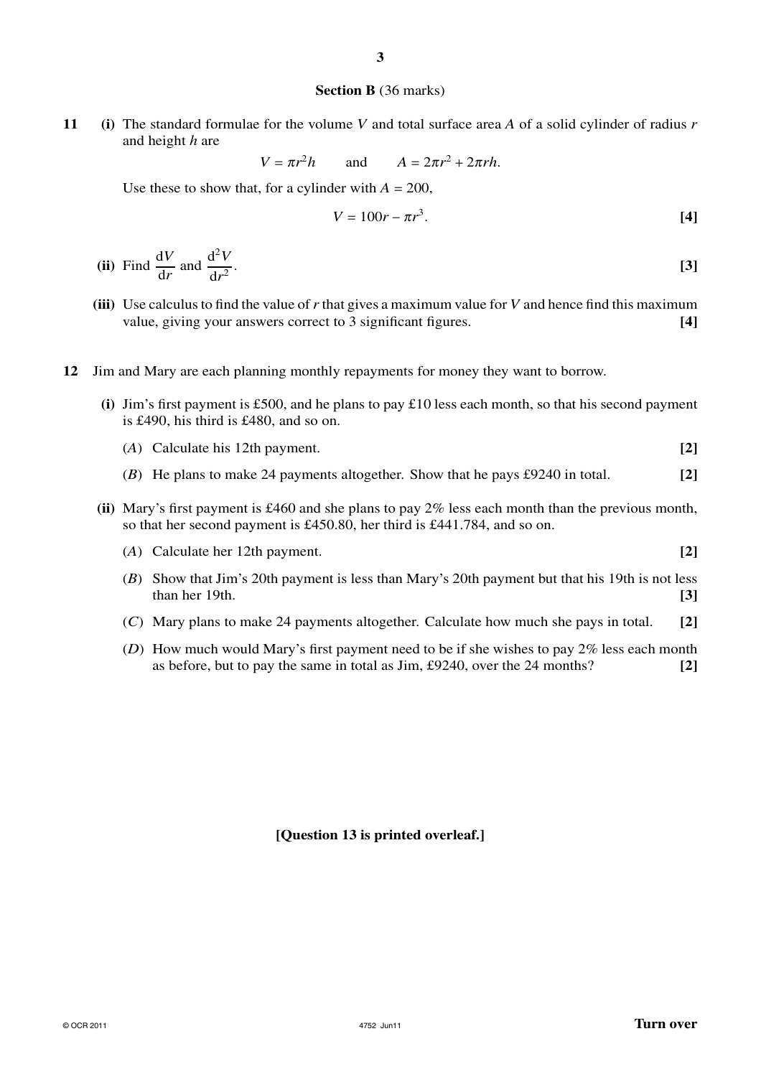#### **Section B** (36 marks)

**11 (i)** The standard formulae for the volume *V* and total surface area *A* of a solid cylinder of radius *r* and height *h* are

$$
V = \pi r^2 h \qquad \text{and} \qquad A = 2\pi r^2 + 2\pi rh.
$$

Use these to show that, for a cylinder with  $A = 200$ ,

$$
V = 100r - \pi r^3. \tag{4}
$$

- **(ii)** Find  $\frac{dV}{dr}$  and  $\frac{d^2V}{dr^2}$  $dr^2$ . **[3]**
- **(iii)** Use calculus to find the value of*r*that gives a maximum value for *V* and hence find this maximum value, giving your answers correct to 3 significant figures. **[4]**
- **12** Jim and Mary are each planning monthly repayments for money they want to borrow.
	- **(i)** Jim's first payment is £500, and he plans to pay £10 less each month, so that his second payment is £490, his third is £480, and so on.
		- (*A*) Calculate his 12th payment. **[2]**
		- (*B*) He plans to make 24 payments altogether. Show that he pays £9240 in total. **[2]**
	- **(ii)** Mary's first payment is £460 and she plans to pay 2% less each month than the previous month, so that her second payment is £450.80, her third is £441.784, and so on.
		- (*A*) Calculate her 12th payment. **[2]**

- (*B*) Show that Jim's 20th payment is less than Mary's 20th payment but that his 19th is not less than her 19th. **[3]**
- (*C*) Mary plans to make 24 payments altogether. Calculate how much she pays in total. **[2]**
- (*D*) How much would Mary's first payment need to be if she wishes to pay 2% less each month as before, but to pay the same in total as Jim, £9240, over the 24 months? **[2]**

**[Question 13 is printed overleaf.]**